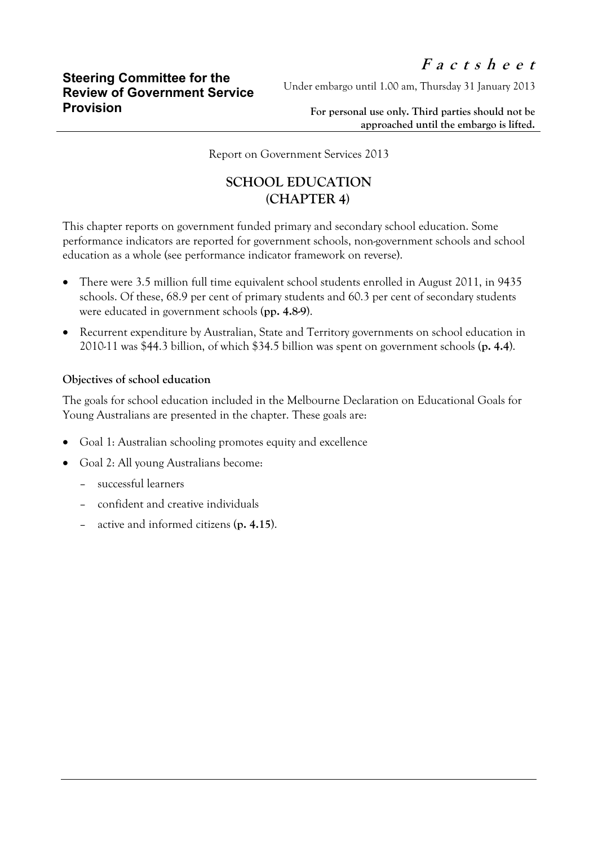Under embargo until 1.00 am, Thursday 31 January 2013

**For personal use only. Third parties should not be approached until the embargo is lifted.**

Report on Government Services 2013

## **SCHOOL EDUCATION (CHAPTER 4)**

This chapter reports on government funded primary and secondary school education. Some performance indicators are reported for government schools, non-government schools and school education as a whole (see performance indicator framework on reverse).

- There were 3.5 million full time equivalent school students enrolled in August 2011, in 9435 schools. Of these, 68.9 per cent of primary students and 60.3 per cent of secondary students were educated in government schools (**pp. 4.8-9**).
- Recurrent expenditure by Australian, State and Territory governments on school education in 2010-11 was \$44.3 billion, of which \$34.5 billion was spent on government schools (**p. 4.4**).

## **Objectives of school education**

The goals for school education included in the Melbourne Declaration on Educational Goals for Young Australians are presented in the chapter. These goals are:

- Goal 1: Australian schooling promotes equity and excellence
- Goal 2: All young Australians become:
	- successful learners
	- confident and creative individuals
	- active and informed citizens (**p. 4.15**).